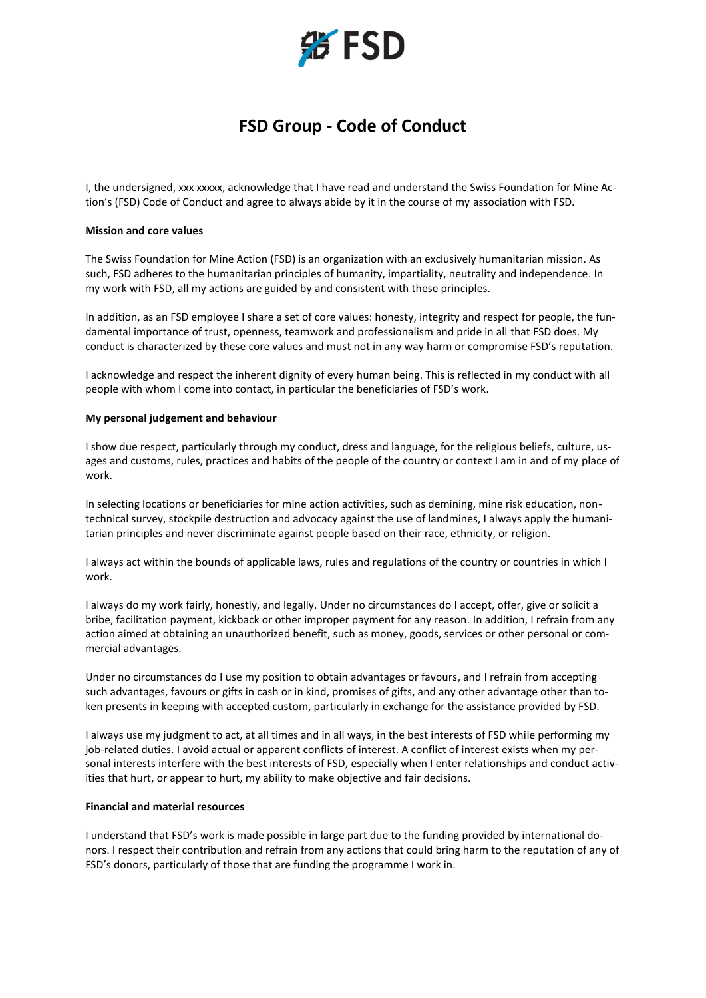

# **FSD Group - Code of Conduct**

I, the undersigned, xxx xxxxx, acknowledge that I have read and understand the Swiss Foundation for Mine Action's (FSD) Code of Conduct and agree to always abide by it in the course of my association with FSD.

## **Mission and core values**

The Swiss Foundation for Mine Action (FSD) is an organization with an exclusively humanitarian mission. As such, FSD adheres to the humanitarian principles of humanity, impartiality, neutrality and independence. In my work with FSD, all my actions are guided by and consistent with these principles.

In addition, as an FSD employee I share a set of core values: honesty, integrity and respect for people, the fundamental importance of trust, openness, teamwork and professionalism and pride in all that FSD does. My conduct is characterized by these core values and must not in any way harm or compromise FSD's reputation.

I acknowledge and respect the inherent dignity of every human being. This is reflected in my conduct with all people with whom I come into contact, in particular the beneficiaries of FSD's work.

#### **My personal judgement and behaviour**

I show due respect, particularly through my conduct, dress and language, for the religious beliefs, culture, usages and customs, rules, practices and habits of the people of the country or context I am in and of my place of work.

In selecting locations or beneficiaries for mine action activities, such as demining, mine risk education, nontechnical survey, stockpile destruction and advocacy against the use of landmines, I always apply the humanitarian principles and never discriminate against people based on their race, ethnicity, or religion.

I always act within the bounds of applicable laws, rules and regulations of the country or countries in which I work.

I always do my work fairly, honestly, and legally. Under no circumstances do I accept, offer, give or solicit a bribe, facilitation payment, kickback or other improper payment for any reason. In addition, I refrain from any action aimed at obtaining an unauthorized benefit, such as money, goods, services or other personal or commercial advantages.

Under no circumstances do I use my position to obtain advantages or favours, and I refrain from accepting such advantages, favours or gifts in cash or in kind, promises of gifts, and any other advantage other than token presents in keeping with accepted custom, particularly in exchange for the assistance provided by FSD.

I always use my judgment to act, at all times and in all ways, in the best interests of FSD while performing my job-related duties. I avoid actual or apparent conflicts of interest. A conflict of interest exists when my personal interests interfere with the best interests of FSD, especially when I enter relationships and conduct activities that hurt, or appear to hurt, my ability to make objective and fair decisions.

### **Financial and material resources**

I understand that FSD's work is made possible in large part due to the funding provided by international donors. I respect their contribution and refrain from any actions that could bring harm to the reputation of any of FSD's donors, particularly of those that are funding the programme I work in.